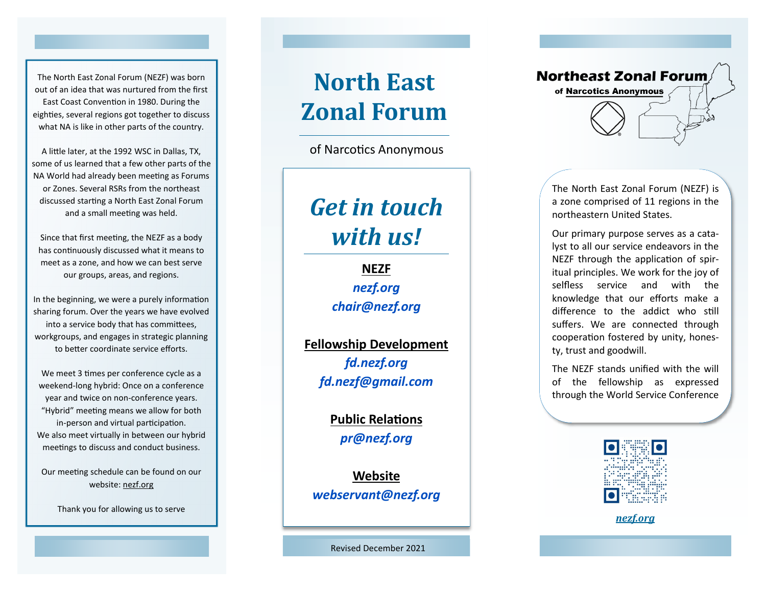The North East Zonal Forum (NEZF) was born out of an idea that was nurtured from the first East Coast Convention in 1980. During the eighties, several regions got together to discuss what NA is like in other parts of the country.

A little later, at the 1992 WSC in Dallas, TX, some of us learned that a few other parts of the NA World had already been meeting as Forums or Zones. Several RSRs from the northeast discussed starting a North East Zonal Forum and a small meeting was held.

Since that first meeting, the NEZF as a body has continuously discussed what it means to meet as a zone, and how we can best serve our groups, areas, and regions.

In the beginning, we were a purely information sharing forum. Over the years we have evolved into a service body that has committees, workgroups, and engages in strategic planning to better coordinate service efforts.

We meet 3 times per conference cycle as a weekend -long hybrid: Once on a conference year and twice on non -conference years. "Hybrid" meeting means we allow for both in -person and virtual participation. We also meet virtually in between our hybrid meetings to discuss and conduct business.

Our meeting schedule can be found on our website: nezf.org

Thank you for allowing us to serve

# **North East Zonal Forum**

of Narcotics Anonymous

# *Get in touch with us!*

**NEZF** *nezf.org chair@nezf.org*

**Fellowship Development** *fd.nezf.org fd.nezf@gmail.com*

> **Public Relations** *pr@nezf.org*

**Website** *webservant@nezf.org*



The North East Zonal Forum (NEZF) is a zone comprised of 11 regions in the northeastern United States.

Our primary purpose serves as a catalyst to all our service endeavors in the NEZF through the application of spiritual principles. We work for the joy of selfless service and with the knowledge that our efforts make a difference to the addict who still suffers. We are connected through cooperation fostered by unity, honesty, trust and goodwill.

The NEZF stands unified with the will of the fellowship as expressed through the World Service Conference



*nezf.org*

Revised December 2021